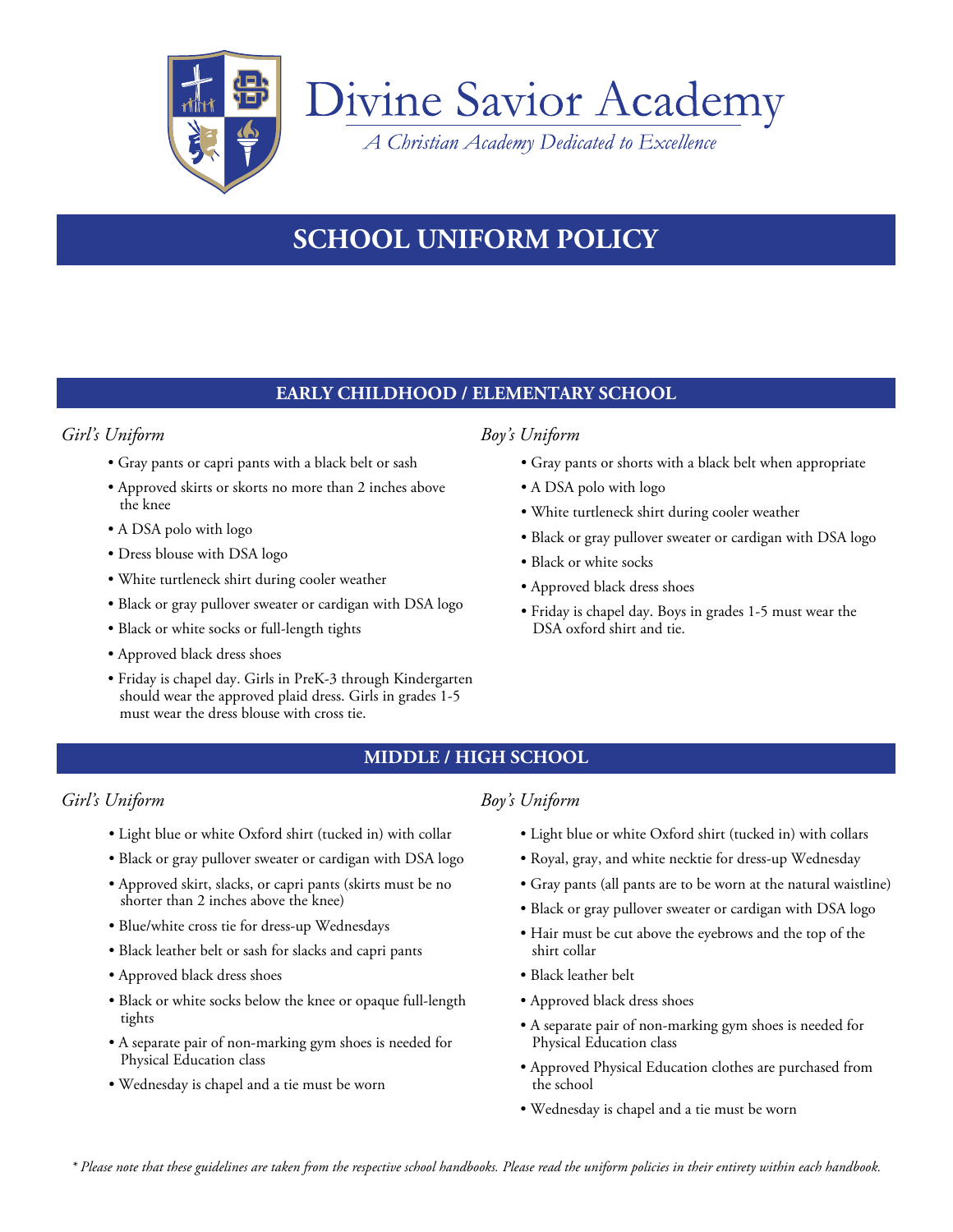

# Divine Savior Academy

*A Christian Academy Dedicated to Excellence*

## **SCHOOL UNIFORM POLICY**

## **EARLY CHILDHOOD / ELEMENTARY SCHOOL**

## *Girl's Uniform Boy's Uniform*

- Gray pants or capri pants with a black belt or sash
- Approved skirts or skorts no more than 2 inches above the knee
- A DSA polo with logo
- Dress blouse with DSA logo
- White turtleneck shirt during cooler weather
- Black or gray pullover sweater or cardigan with DSA logo
- Black or white socks or full-length tights
- Approved black dress shoes
- Friday is chapel day. Girls in PreK-3 through Kindergarten should wear the approved plaid dress. Girls in grades 1-5 must wear the dress blouse with cross tie.

- Gray pants or shorts with a black belt when appropriate
- A DSA polo with logo
- White turtleneck shirt during cooler weather
- Black or gray pullover sweater or cardigan with DSA logo
- Black or white socks
- Approved black dress shoes
- Friday is chapel day. Boys in grades 1-5 must wear the DSA oxford shirt and tie.

### **MIDDLE / HIGH SCHOOL**

### *Girl's Uniform Boy's Uniform*

- Light blue or white Oxford shirt (tucked in) with collar
- Black or gray pullover sweater or cardigan with DSA logo
- Approved skirt, slacks, or capri pants (skirts must be no shorter than 2 inches above the knee)
- Blue/white cross tie for dress-up Wednesdays
- Black leather belt or sash for slacks and capri pants
- Approved black dress shoes
- Black or white socks below the knee or opaque full-length tights
- A separate pair of non-marking gym shoes is needed for Physical Education class
- Wednesday is chapel and a tie must be worn

- Light blue or white Oxford shirt (tucked in) with collars
- Royal, gray, and white necktie for dress-up Wednesday
- Gray pants (all pants are to be worn at the natural waistline)
- Black or gray pullover sweater or cardigan with DSA logo
- Hair must be cut above the eyebrows and the top of the shirt collar
- Black leather belt
- Approved black dress shoes
- A separate pair of non-marking gym shoes is needed for Physical Education class
- Approved Physical Education clothes are purchased from the school
- Wednesday is chapel and a tie must be worn

*\* Please note that these guidelines are taken from the respective school handbooks. Please read the uniform policies in their entirety within each handbook.*